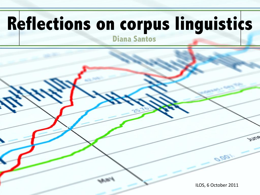# **Reflections on corpus linguistics**

Diana Santos

June ILOS, 6 October 2011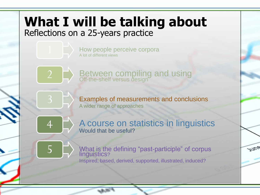### **What I will be talking about** Reflections on a 25-years practice

How people perceive corpora A lot of different views



3

4

Between compiling and using Off-the-shelf versus design

Examples of measurements and conclusions A wider range of approaches

A course on statistics in linguistics Would that be useful?

5 What is the defining "past-participle" of corpus<br>linguistics? Inspired, based, derived, supported, illustrated, induced?

Intus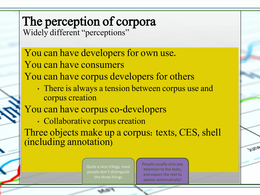# The perception of corpora

Widely different "perceptions"

#### You can have developers for own use. You can have consumers

You can have corpus developers for others

• There is always a tension between corpus use and corpus creation

#### You can have corpus co-developers

• Collaborative corpus creation

Three objects make up a corpus: texts, CES, shell (including annotation)

> Quite a nice trilogy, most people don't distinguish

People usually only pay attention to the texts, and expect the rest to appear automatically!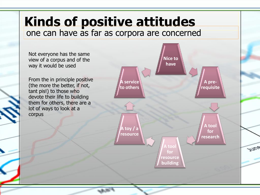### **Kinds of positive attitudes** one can have as far as corpora are concerned

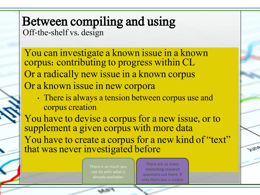#### Between compiling and using Off-the-shelf vs. design

You can investigate a known issue in a known corpus: contributing to progress within CL Or a radically new issue in a known corpus Or a known issue in new corpora

• There is always a tension between corpus use and corpus creation

You have to devise a corpus for a new issue, or to supplement a given corpus with more data You have to create a corpus for a new kind of "text" that was never investigated before

> There is so much you can do with what is already available!

There are so many interesting research questions out there, if only there was a corpus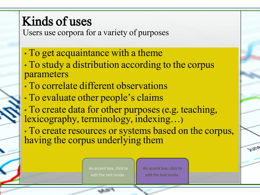### Kinds of uses

Users use corpora for a variety of purposes

- To get acquaintance with a theme
- To study a distribution according to the corpus parameters
- To correlate different observations
- To evaluate other people's claims
- To create data for other purposes (e.g. teaching, lexicography, terminology, indexing…)
- To create resources or systems based on the corpus, having the corpus underlying them

An accent box, click to edit the text inside.

An accent box, click to edit the text inside.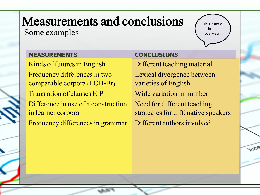#### Measurements and conclusions Some examples

This is not a broad overview!

**Antus** 

#### **MEASUREMENTS**

Kinds of futures in English Frequency differences in two comparable corpora (LOB-Br) Translation of clauses E-P Difference in use of a construction in learner corpora Frequency differences in grammar

#### **CONCLUSIONS**

Different teaching material Lexical divergence between varieties of English Wide variation in number Need for different teaching strategies for diff. native speakers Different authors involved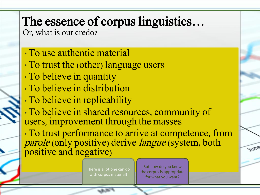### The essence of corpus linguistics…

Or, what is our credo?

- To use authentic material
- To trust the (other) language users
- To believe in quantity
- To believe in distribution
- To believe in replicability

• To believe in shared resources, community of users, improvement through the masses

• To trust performance to arrive at competence, from *parole* (only positive) derive *langue* (system, both positive and negative)

> There is a lot one can do with corpus material!

But how do you know the corpus is appropriate for what you want?

**INCE**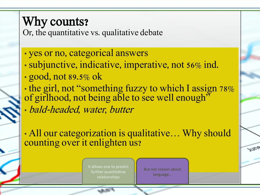### Why counts?

Or, the quantitative vs. qualitative debate

- yes or no, categorical answers
- subjunctive, indicative, imperative, not 56% ind.
- good, not 89.5% ok
- the girl, not "something fuzzy to which I assign 78% of girlhood, not being able to see well enough<sup>35</sup> • bald-headed, water, butter

• All our categorization is qualitative... Why should counting over it enlighten us?

> It allows one to predict further quantitative relationships

But not reason about language…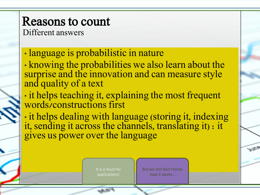### Reasons to count

Different answers

• language is probabilistic in nature

• knowing the probabilities we also learn about the surprise and the innovation and can measure style and quality of a text

• it helps teaching it, explaining the most frequent words/constructions first

• it helps dealing with language (storing it, indexing it, sending it across the channels, translating it) : it gives us power over the language

> It is a must for applications!

But we still don't know how it works…